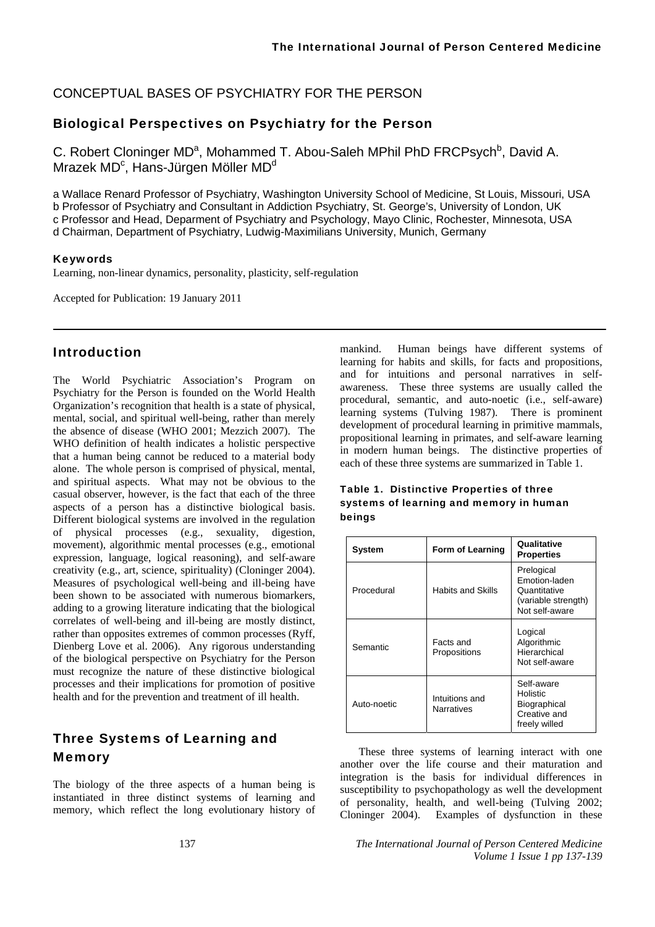## CONCEPTUAL BASES OF PSYCHIATRY FOR THE PERSON

### Biological Perspectives on Psychiatry for the Person

C. Robert Cloninger MD<sup>a</sup>, Mohammed T. Abou-Saleh MPhil PhD FRCPsych<sup>b</sup>, David A. Mrazek MD<sup>c</sup>, Hans-Jürgen Möller MD<sup>d</sup>

a Wallace Renard Professor of Psychiatry, Washington University School of Medicine, St Louis, Missouri, USA b Professor of Psychiatry and Consultant in Addiction Psychiatry, St. George's, University of London, UK c Professor and Head, Deparment of Psychiatry and Psychology, Mayo Clinic, Rochester, Minnesota, USA d Chairman, Department of Psychiatry, Ludwig-Maximilians University, Munich, Germany

#### Keywords

Learning, non-linear dynamics, personality, plasticity, self-regulation

Accepted for Publication: 19 January 2011

### Introduction

The World Psychiatric Association's Program on Psychiatry for the Person is founded on the World Health Organization's recognition that health is a state of physical, mental, social, and spiritual well-being, rather than merely the absence of disease (WHO 2001; Mezzich 2007). The WHO definition of health indicates a holistic perspective that a human being cannot be reduced to a material body alone. The whole person is comprised of physical, mental, and spiritual aspects. What may not be obvious to the casual observer, however, is the fact that each of the three aspects of a person has a distinctive biological basis. Different biological systems are involved in the regulation of physical processes (e.g., sexuality, digestion, movement), algorithmic mental processes (e.g., emotional expression, language, logical reasoning), and self-aware creativity (e.g., art, science, spirituality) (Cloninger 2004). Measures of psychological well-being and ill-being have been shown to be associated with numerous biomarkers, adding to a growing literature indicating that the biological correlates of well-being and ill-being are mostly distinct, rather than opposites extremes of common processes (Ryff, Dienberg Love et al. 2006). Any rigorous understanding of the biological perspective on Psychiatry for the Person must recognize the nature of these distinctive biological processes and their implications for promotion of positive health and for the prevention and treatment of ill health.

# Three Systems of Learning and Memory

The biology of the three aspects of a human being is instantiated in three distinct systems of learning and memory, which reflect the long evolutionary history of

mankind. Human beings have different systems of learning for habits and skills, for facts and propositions, and for intuitions and personal narratives in selfawareness. These three systems are usually called the procedural, semantic, and auto-noetic (i.e., self-aware) learning systems (Tulving 1987). There is prominent development of procedural learning in primitive mammals, propositional learning in primates, and self-aware learning in modern human beings. The distinctive properties of each of these three systems are summarized in Table 1.

| Table 1. Distinctive Properties of three |
|------------------------------------------|
| systems of learning and memory in human  |
| beings                                   |

| System      | Form of Learning             | Qualitative<br><b>Properties</b>                                                     |
|-------------|------------------------------|--------------------------------------------------------------------------------------|
| Procedural  | <b>Habits and Skills</b>     | Prelogical<br>Emotion-laden<br>Quantitative<br>(variable strength)<br>Not self-aware |
| Semantic    | Facts and<br>Propositions    | Logical<br>Algorithmic<br>Hierarchical<br>Not self-aware                             |
| Auto-noetic | Intuitions and<br>Narratives | Self-aware<br>Holistic<br>Biographical<br>Creative and<br>freely willed              |

These three systems of learning interact with one another over the life course and their maturation and integration is the basis for individual differences in susceptibility to psychopathology as well the development of personality, health, and well-being (Tulving 2002; Cloninger 2004). Examples of dysfunction in these

137 *The International Journal of Person Centered Medicine Volume 1 Issue 1 pp 137-139*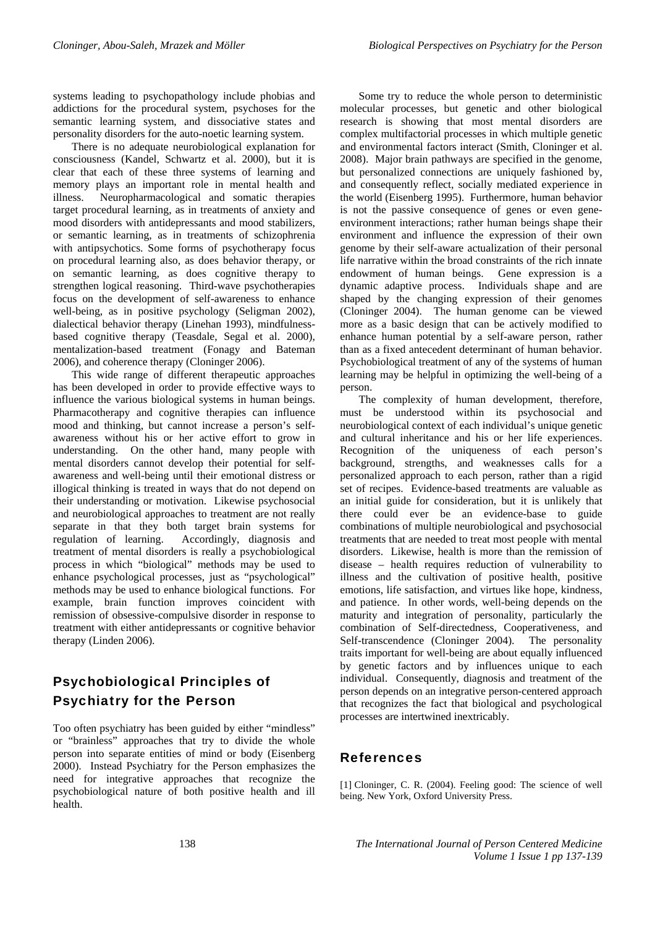systems leading to psychopathology include phobias and addictions for the procedural system, psychoses for the semantic learning system, and dissociative states and personality disorders for the auto-noetic learning system.

There is no adequate neurobiological explanation for consciousness (Kandel, Schwartz et al. 2000), but it is clear that each of these three systems of learning and memory plays an important role in mental health and illness. Neuropharmacological and somatic therapies target procedural learning, as in treatments of anxiety and mood disorders with antidepressants and mood stabilizers, or semantic learning, as in treatments of schizophrenia with antipsychotics. Some forms of psychotherapy focus on procedural learning also, as does behavior therapy, or on semantic learning, as does cognitive therapy to strengthen logical reasoning. Third-wave psychotherapies focus on the development of self-awareness to enhance well-being, as in positive psychology (Seligman 2002), dialectical behavior therapy (Linehan 1993), mindfulnessbased cognitive therapy (Teasdale, Segal et al. 2000), mentalization-based treatment (Fonagy and Bateman 2006), and coherence therapy (Cloninger 2006).

This wide range of different therapeutic approaches has been developed in order to provide effective ways to influence the various biological systems in human beings. Pharmacotherapy and cognitive therapies can influence mood and thinking, but cannot increase a person's selfawareness without his or her active effort to grow in understanding. On the other hand, many people with mental disorders cannot develop their potential for selfawareness and well-being until their emotional distress or illogical thinking is treated in ways that do not depend on their understanding or motivation. Likewise psychosocial and neurobiological approaches to treatment are not really separate in that they both target brain systems for regulation of learning. Accordingly, diagnosis and treatment of mental disorders is really a psychobiological process in which "biological" methods may be used to enhance psychological processes, just as "psychological" methods may be used to enhance biological functions. For example, brain function improves coincident with remission of obsessive-compulsive disorder in response to treatment with either antidepressants or cognitive behavior therapy (Linden 2006).

# Psychobiological Principles of Psychiatry for the Person

Too often psychiatry has been guided by either "mindless" or "brainless" approaches that try to divide the whole person into separate entities of mind or body (Eisenberg 2000). Instead Psychiatry for the Person emphasizes the need for integrative approaches that recognize the psychobiological nature of both positive health and ill health.

Some try to reduce the whole person to deterministic molecular processes, but genetic and other biological research is showing that most mental disorders are complex multifactorial processes in which multiple genetic and environmental factors interact (Smith, Cloninger et al. 2008). Major brain pathways are specified in the genome, but personalized connections are uniquely fashioned by, and consequently reflect, socially mediated experience in the world (Eisenberg 1995). Furthermore, human behavior is not the passive consequence of genes or even geneenvironment interactions; rather human beings shape their environment and influence the expression of their own genome by their self-aware actualization of their personal life narrative within the broad constraints of the rich innate endowment of human beings. Gene expression is a dynamic adaptive process. Individuals shape and are shaped by the changing expression of their genomes (Cloninger 2004). The human genome can be viewed more as a basic design that can be actively modified to enhance human potential by a self-aware person, rather than as a fixed antecedent determinant of human behavior. Psychobiological treatment of any of the systems of human learning may be helpful in optimizing the well-being of a person.

The complexity of human development, therefore, must be understood within its psychosocial and neurobiological context of each individual's unique genetic and cultural inheritance and his or her life experiences. Recognition of the uniqueness of each person's background, strengths, and weaknesses calls for a personalized approach to each person, rather than a rigid set of recipes. Evidence-based treatments are valuable as an initial guide for consideration, but it is unlikely that there could ever be an evidence-base to guide combinations of multiple neurobiological and psychosocial treatments that are needed to treat most people with mental disorders. Likewise, health is more than the remission of disease – health requires reduction of vulnerability to illness and the cultivation of positive health, positive emotions, life satisfaction, and virtues like hope, kindness, and patience. In other words, well-being depends on the maturity and integration of personality, particularly the combination of Self-directedness, Cooperativeness, and Self-transcendence (Cloninger 2004). The personality traits important for well-being are about equally influenced by genetic factors and by influences unique to each individual. Consequently, diagnosis and treatment of the person depends on an integrative person-centered approach that recognizes the fact that biological and psychological processes are intertwined inextricably.

### References

[1] Cloninger, C. R. (2004). Feeling good: The science of well being. New York, Oxford University Press.

138 *The International Journal of Person Centered Medicine Volume 1 Issue 1 pp 137-139*